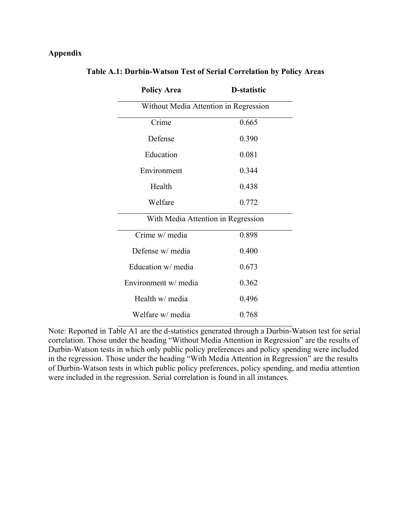## **Appendix**

| <b>Policy Area</b>                    | <b>D</b> -statistic |  |  |  |  |
|---------------------------------------|---------------------|--|--|--|--|
| Without Media Attention in Regression |                     |  |  |  |  |
| Crime                                 | 0.665               |  |  |  |  |
| Defense                               | 0.390               |  |  |  |  |
| Education                             | 0.081               |  |  |  |  |
| Environment                           | 0.344               |  |  |  |  |
| Health                                | 0.438               |  |  |  |  |
| Welfare                               | 0.772               |  |  |  |  |
| With Media Attention in Regression    |                     |  |  |  |  |
| Crime w/ media                        | 0.898               |  |  |  |  |
| Defense w/ media                      | 0.400               |  |  |  |  |
| Education w/ media                    | 0.673               |  |  |  |  |
| Environment w/ media                  | 0.362               |  |  |  |  |
| Health w/ media                       | 0.496               |  |  |  |  |
| Welfare w/ media                      | 0.768               |  |  |  |  |

## **Table A.1: Durbin-Watson Test of Serial Correlation by Policy Areas**

Note: Reported in Table A1 are the d-statistics generated through a Durbin-Watson test for serial correlation. Those under the heading "Without Media Attention in Regression" are the results of Durbin-Watson tests in which only public policy preferences and policy spending were included in the regression. Those under the heading "With Media Attention in Regression" are the results of Durbin-Watson tests in which public policy preferences, policy spending, and media attention were included in the regression. Serial correlation is found in all instances.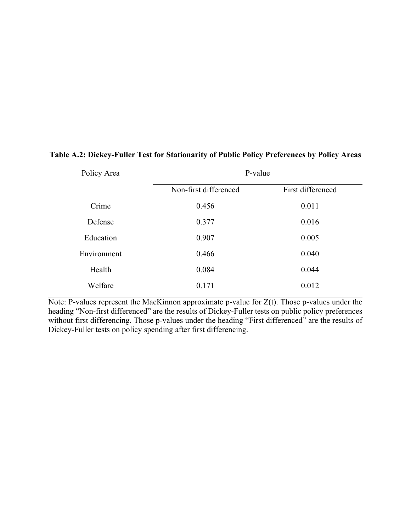| Policy Area | P-value               |                   |  |
|-------------|-----------------------|-------------------|--|
|             | Non-first differenced | First differenced |  |
| Crime       | 0.456                 | 0.011             |  |
| Defense     | 0.377                 | 0.016             |  |
| Education   | 0.907                 | 0.005             |  |
| Environment | 0.466                 | 0.040             |  |
| Health      | 0.084                 | 0.044             |  |
| Welfare     | 0.171                 | 0.012             |  |

## **Table A.2: Dickey-Fuller Test for Stationarity of Public Policy Preferences by Policy Areas**

Note: P-values represent the MacKinnon approximate p-value for  $Z(t)$ . Those p-values under the heading "Non-first differenced" are the results of Dickey-Fuller tests on public policy preferences without first differencing. Those p-values under the heading "First differenced" are the results of Dickey-Fuller tests on policy spending after first differencing.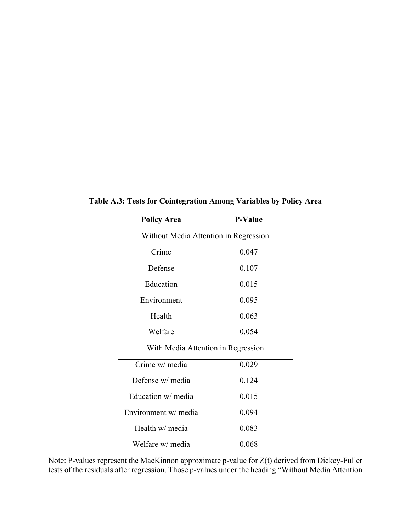| <b>Policy Area</b>                    | <b>P-Value</b> |  |
|---------------------------------------|----------------|--|
| Without Media Attention in Regression |                |  |
| Crime                                 | 0.047          |  |
| Defense                               | 0.107          |  |
| Education                             | 0.015          |  |
| Environment                           | 0.095          |  |
| Health                                | 0.063          |  |
| Welfare                               | 0.054          |  |
| With Media Attention in Regression    |                |  |
| Crime w/ media                        | 0.029          |  |
| Defense w/ media                      | 0.124          |  |
| Education w/ media                    | 0.015          |  |
| Environment w/ media                  | 0.094          |  |
| Health w/ media                       | 0.083          |  |
| Welfare w/ media                      | 0.068          |  |

**Table A.3: Tests for Cointegration Among Variables by Policy Area**

Note: P-values represent the MacKinnon approximate p-value for Z(t) derived from Dickey-Fuller tests of the residuals after regression. Those p-values under the heading "Without Media Attention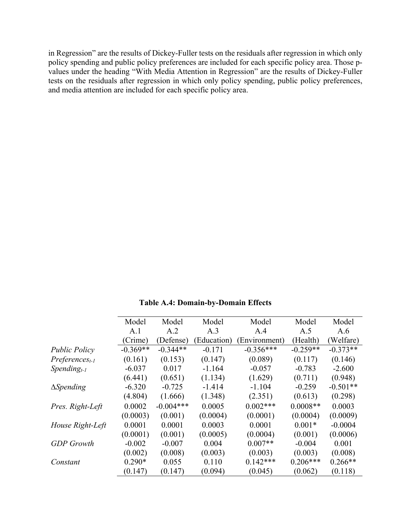in Regression" are the results of Dickey-Fuller tests on the residuals after regression in which only policy spending and public policy preferences are included for each specific policy area. Those pvalues under the heading "With Media Attention in Regression" are the results of Dickey-Fuller tests on the residuals after regression in which only policy spending, public policy preferences, and media attention are included for each specific policy area.

|                      | Model      | Model       | Model       | Model        | Model      | Model      |
|----------------------|------------|-------------|-------------|--------------|------------|------------|
|                      | A.1        | A.2         | A.3         | A.4          | A.5        | A.6        |
|                      | (Crime)    | (Defense)   | (Education) | Environment) | (Health)   | (Welfare)  |
| <b>Public Policy</b> | $-0.369**$ | $-0.344**$  | $-0.171$    | $-0.356***$  | $-0.259**$ | $-0.373**$ |
| $Preferences_{t-1}$  | (0.161)    | (0.153)     | (0.147)     | (0.089)      | (0.117)    | (0.146)    |
| $Spending_{t-1}$     | $-6.037$   | 0.017       | $-1.164$    | $-0.057$     | $-0.783$   | $-2.600$   |
|                      | (6.441)    | (0.651)     | (1.134)     | (1.629)      | (0.711)    | (0.948)    |
| $\Delta$ Spending    | $-6.320$   | $-0.725$    | $-1.414$    | $-1.104$     | $-0.259$   | $-0.501**$ |
|                      | (4.804)    | (1.666)     | (1.348)     | (2.351)      | (0.613)    | (0.298)    |
| Pres. Right-Left     | 0.0002     | $-0.004***$ | 0.0005      | $0.002***$   | $0.0008**$ | 0.0003     |
|                      | (0.0003)   | (0.001)     | (0.0004)    | (0.0001)     | (0.0004)   | (0.0009)   |
| House Right-Left     | 0.0001     | 0.0001      | 0.0003      | 0.0001       | $0.001*$   | $-0.0004$  |
|                      | (0.0001)   | (0.001)     | (0.0005)    | (0.0004)     | (0.001)    | (0.0006)   |
| <b>GDP</b> Growth    | $-0.002$   | $-0.007$    | 0.004       | $0.007**$    | $-0.004$   | 0.001      |
|                      | (0.002)    | (0.008)     | (0.003)     | (0.003)      | (0.003)    | (0.008)    |
| Constant             | $0.290*$   | 0.055       | 0.110       | $0.142***$   | $0.206***$ | $0.266**$  |
|                      | (0.147)    | (0.147)     | (0.094)     | (0.045)      | (0.062)    | (0.118)    |

**Table A.4: Domain-by-Domain Effects**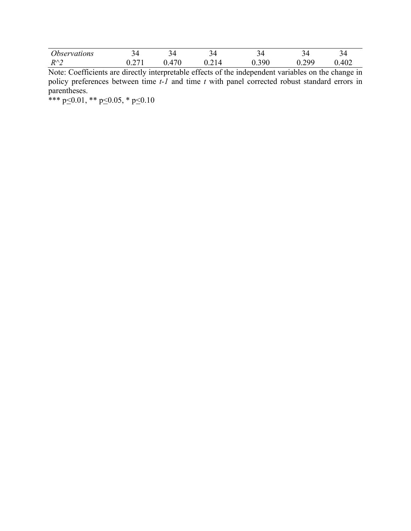| <i>Observations</i>                 | -<br>៶∠        |                     | ~<br>ັ    | ັ                      | ~<br>ັ                                          | تے ہ<br>$\overline{\phantom{a}}$ |
|-------------------------------------|----------------|---------------------|-----------|------------------------|-------------------------------------------------|----------------------------------|
| $R^{\wedge}$<br>$\overline{ }$<br>_ | $\sim$<br>∪.∠⊥ | 170<br>$\prime\,$ . | ∸<br>◡.∠⊥ | 300<br>v. <i>j</i> / v | 200<br>$\mathsf{U} \cdot \mathsf{L} \mathsf{U}$ | $\Delta 0^{\circ}$<br>ℸ∪∠        |

Note: Coefficients are directly interpretable effects of the independent variables on the change in policy preferences between time *t-1* and time *t* with panel corrected robust standard errors in parentheses.

\*\*\* p $\leq$ 0.01, \*\* p $\leq$ 0.05, \* p $\leq$ 0.10